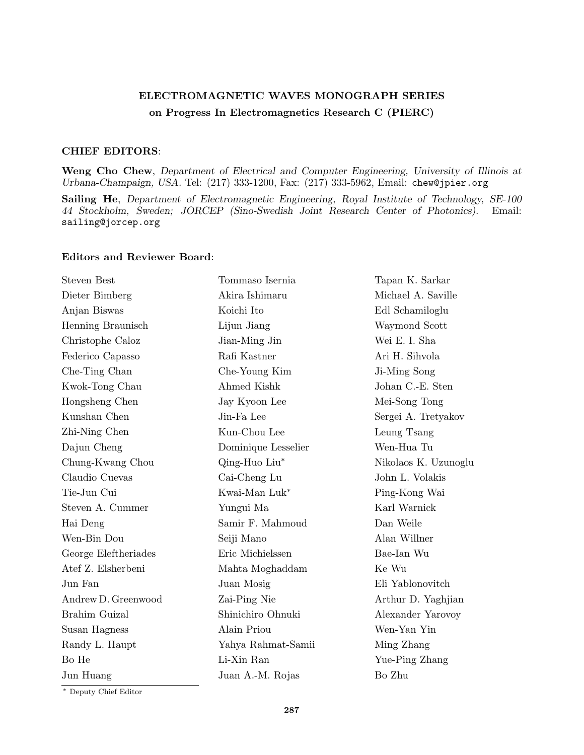## **ELECTROMAGNETIC WAVES MONOGRAPH SERIES on Progress In Electromagnetics Research C (PIERC)**

## **CHIEF EDITORS**:

**Weng Cho Chew**, *Department of Electrical and Computer Engineering, University of Illinois at Urbana-Champaign, USA.* Tel: (217) 333-1200, Fax: (217) 333-5962, Email: chew@jpier.org

**Sailing He**, *Department of Electromagnetic Engineering, Royal Institute of Technology, SE-100 44 Stockholm, Sweden; JORCEP (Sino-Swedish Joint Research Center of Photonics).* Email: sailing@jorcep.org

## **Editors and Reviewer Board**:

| <b>Steven Best</b>   | Tommaso Isernia     | Tapan K. Sarkar      |
|----------------------|---------------------|----------------------|
| Dieter Bimberg       | Akira Ishimaru      | Michael A. Saville   |
| Anjan Biswas         | Koichi Ito          | Edl Schamiloglu      |
| Henning Braunisch    | Lijun Jiang         | Waymond Scott        |
| Christophe Caloz     | Jian-Ming Jin       | Wei E. I. Sha        |
| Federico Capasso     | Rafi Kastner        | Ari H. Sihvola       |
| Che-Ting Chan        | Che-Young Kim       | Ji-Ming Song         |
| Kwok-Tong Chau       | Ahmed Kishk         | Johan C.-E. Sten     |
| Hongsheng Chen       | Jay Kyoon Lee       | Mei-Song Tong        |
| Kunshan Chen         | Jin-Fa Lee          | Sergei A. Tretyakov  |
| Zhi-Ning Chen        | Kun-Chou Lee        | Leung Tsang          |
| Dajun Cheng          | Dominique Lesselier | Wen-Hua Tu           |
| Chung-Kwang Chou     | Qing-Huo Liu*       | Nikolaos K. Uzunoglu |
| Claudio Cuevas       | Cai-Cheng Lu        | John L. Volakis      |
| Tie-Jun Cui          | Kwai-Man Luk*       | Ping-Kong Wai        |
| Steven A. Cummer     | Yungui Ma           | Karl Warnick         |
| Hai Deng             | Samir F. Mahmoud    | Dan Weile            |
| Wen-Bin Dou          | Seiji Mano          | Alan Willner         |
| George Eleftheriades | Eric Michielssen    | Bae-Ian Wu           |
| Atef Z. Elsherbeni   | Mahta Moghaddam     | Ke Wu                |
| Jun Fan              | Juan Mosig          | Eli Yablonovitch     |
| Andrew D. Greenwood  | Zai-Ping Nie        | Arthur D. Yaghjian   |
| Brahim Guizal        | Shinichiro Ohnuki   | Alexander Yarovoy    |
| Susan Hagness        | Alain Priou         | Wen-Yan Yin          |
| Randy L. Haupt       | Yahya Rahmat-Samii  | Ming Zhang           |
| Bo He                | Li-Xin Ran          | Yue-Ping Zhang       |
| Jun Huang            | Juan A.-M. Rojas    | Bo Zhu               |
|                      |                     |                      |

*∗* Deputy Chief Editor